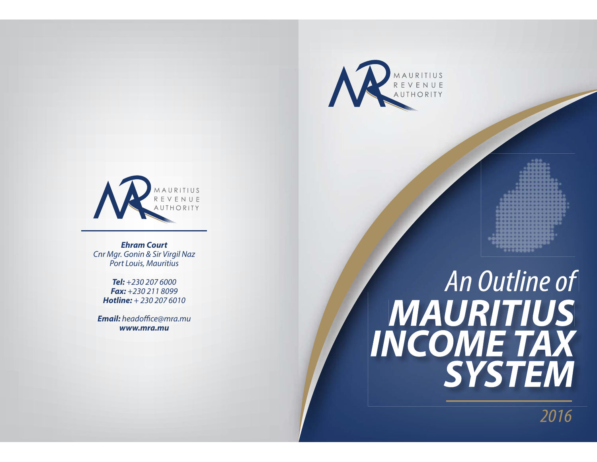



**Ehram Court**Cnr Mgr. Gonin & Sir Virgil Naz Port Louis, Mauritius

**Tel:** +230 207 6000**Fax:** +230 211 8099**Hotline:** + 230 207 6010

**Email:** headoffice@mra.mu **www.mra.mu**

# An Outline of **MAURITIUS INCOME TAX SYSTEM**

2016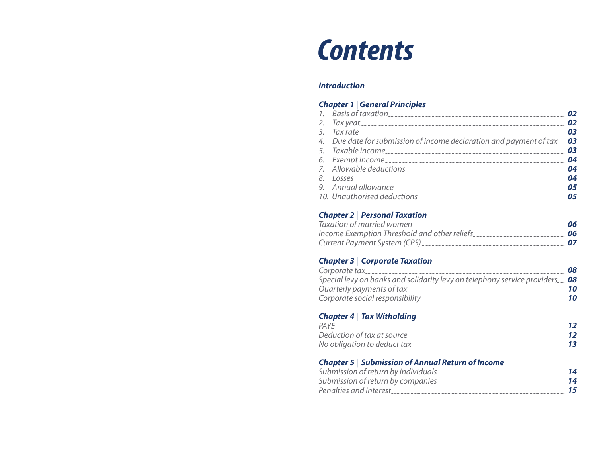## **Contents**

#### **Introduction**

#### **Chapter 1 | General Principles**

| 1. Basis of taxation 02                                                                                                                                                                                                              |  |
|--------------------------------------------------------------------------------------------------------------------------------------------------------------------------------------------------------------------------------------|--|
| 2. Tax year <b>02</b>                                                                                                                                                                                                                |  |
| 3. Tax rate 5.000 03                                                                                                                                                                                                                 |  |
| 4. Due date for submission of income declaration and payment of tax 03                                                                                                                                                               |  |
|                                                                                                                                                                                                                                      |  |
|                                                                                                                                                                                                                                      |  |
|                                                                                                                                                                                                                                      |  |
| 8. Losses 04                                                                                                                                                                                                                         |  |
| 9. Annual allowance <b>05</b>                                                                                                                                                                                                        |  |
| 10. Unauthorised deductions <b>Manufacture 10. 100 and 100 and 100 and 100 and 100 and 100 and 100 and 100 and 100 and 100 and 100 and 100 and 100 and 100 and 100 and 100 and 100 and 100 and 100 and 100 and 100 and 100 and 1</b> |  |

#### **Chapter 2 | Personal Taxation**

| Taxation of married women                    | 06 |
|----------------------------------------------|----|
| Income Exemption Threshold and other reliefs | 06 |
| Current Payment System (CPS)                 | 07 |

#### **Chapter 3 | Corporate Taxation**

| Corporate tax                                                               | 08 |
|-----------------------------------------------------------------------------|----|
| Special levy on banks and solidarity levy on telephony service providers 08 |    |
|                                                                             |    |
| Corporate social responsibility                                             | 10 |

#### **Chapter 4 | Tax Witholding**

| PAYF                        |  |
|-----------------------------|--|
| Deduction of tax at source  |  |
| No obligation to deduct tax |  |

#### **Chapter 5 | Submission of Annual Return of Income**

| Submission of return by individuals |  |
|-------------------------------------|--|
| Submission of return by companies   |  |
| Penalties and Interest              |  |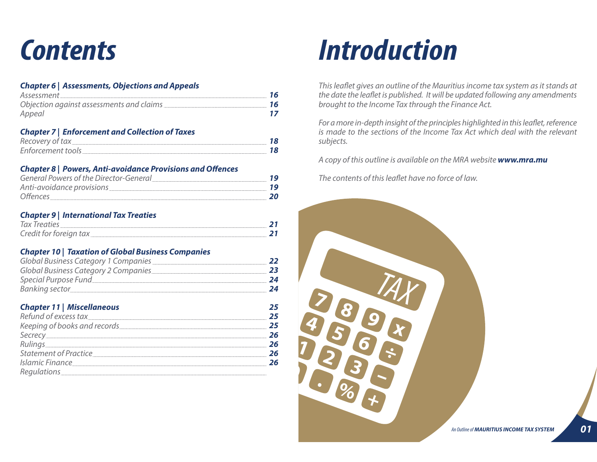#### **Chapter 6 | Assessments, Objections and Appeals**

| Assessment | 16 |
|------------|----|
|            | 16 |
| Appeal     |    |

#### **Chapter 7 | Enforcement and Collection of Taxes**

| Recovery of tax          |  |
|--------------------------|--|
| <b>Enforcement tools</b> |  |

#### **Chapter 8 | Powers, Anti-avoidance Provisions and Offences**

| General Powers of the Director-General |  |
|----------------------------------------|--|
| Anti-avoidance provisions              |  |
| Offences                               |  |

#### **Chapter 9 | International Tax Treaties**

| Tax Treaties           |  |
|------------------------|--|
| Credit for foreign tax |  |

#### **Chapter 10 | Taxation of Global Business Companies**

| Global Business Category 1 Companies | 22 |
|--------------------------------------|----|
| Global Business Category 2 Companies | 23 |
| Special Purpose Fund                 | 24 |
| Banking sector                       | 24 |

#### **Chapter 11 | Miscellaneous**

| Refund of excess tax                                                                                                                                                                                                          | 25 |
|-------------------------------------------------------------------------------------------------------------------------------------------------------------------------------------------------------------------------------|----|
| Keeping of books and records [11] No. 10 AM ASSEM AND THE REAL PROPERTY ASSEMBLED ASSEMBLED ASSEMBLED ASSEMBLED ASSEMBLED ASSEMBLED ASSEMBLED ASSEMBLED ASSEMBLED ASSEMBLED ASSEMBLED ASSEMBLED ASSEMBLED ASSEMBLED ASSEMBLED | 25 |
|                                                                                                                                                                                                                               | 26 |
|                                                                                                                                                                                                                               | 26 |
| Statement of Practice                                                                                                                                                                                                         | 26 |
|                                                                                                                                                                                                                               | 26 |
|                                                                                                                                                                                                                               |    |



This leaflet gives an outline of the Mauritius income tax system as it stands at the date the leaflet is published. It will be updated following any amendments brought to the Income Tax through the Finance Act.

For a more in-depth insight of the principles highlighted in this leaflet, reference is made to the sections of the Income Tax Act which deal with the relevant subjects.

A copy of this outline is available on the MRA website **www.mra.mu**

The contents of this leaflet have no force of law.



**25**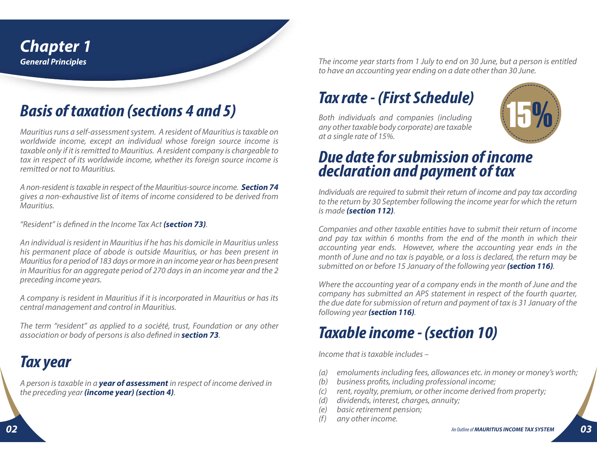

## **Basis of taxation (sections 4 and 5)**

Mauritius runs a self-assessment system. A resident of Mauritius is taxable on worldwide income, except an individual whose foreign source income is taxable only if it is remitted to Mauritius. A resident company is chargeable to tax in respect of its worldwide income, whether its foreign source income is remitted or not to Mauritius.

A non-resident is taxable in respect of the Mauritius-source income. **Section 74** gives a non-exhaustive list of items of income considered to be derived from Mauritius.

"Resident" is defined in the Income Tax Act **(section 73)**.

An individual is resident in Mauritius if he has his domicile in Mauritius unless his permanent place of abode is outside Mauritius, or has been present in Mauritius for a period of 183 days or more in an income year or has been present in Mauritius for an aggregate period of 270 days in an income year and the 2 preceding income years.

A company is resident in Mauritius if it is incorporated in Mauritius or has its central management and control in Mauritius.

The term "resident" as applied to a société, trust, Foundation or any other association or body of persons is also defined in **section 73**.

#### **Tax year**

A person is taxable in a **year of assessment** in respect of income derived in the preceding year **(income year) (section 4)**.

The income year starts from 1 July to end on 30 June, but a person is entitled to have an accounting year ending on a date other than 30 June.

## **Tax rate - (First Schedule)**

Both individuals and companies (including any other taxable body corporate) are taxable at a single rate of 15%.



#### **Due date for submission of incomedeclaration and payment of tax**

Individuals are required to submit their return of income and pay tax according to the return by 30 September following the income year for which the return is made **(section 112)**.

Companies and other taxable entities have to submit their return of income and pay tax within 6 months from the end of the month in which their accounting year ends. However, where the accounting year ends in the month of June and no tax is payable, or a loss is declared, the return may be submitted on or before 15 January of the following year **(section 116)**.

Where the accounting year of a company ends in the month of June and the company has submitted an APS statement in respect of the fourth quarter, the due date for submission of return and payment of tax is 31 January of the following year **(section 116)**.

## **Taxable income - (section 10)**

Income that is taxable includes –

- emoluments including fees, allowances etc. in money or money's worth; (a)
- business profits, including professional income; (b)
- rent, royalty, premium, or other income derived from property;  $(c)$
- dividends, interest, charges, annuity; (d)
- basic retirement pension; (e)
- any other income.  $(f)$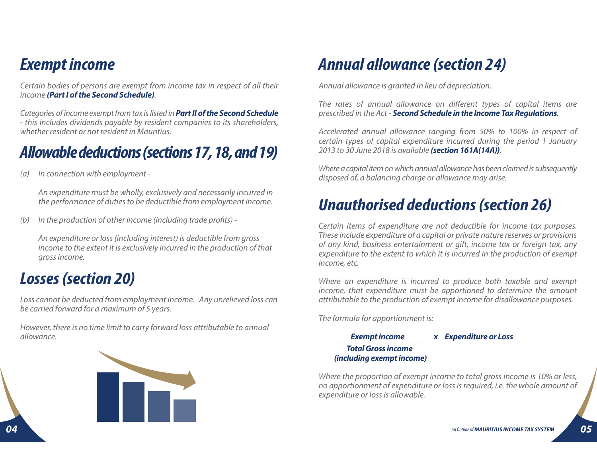#### **Exempt income**

Certain bodies of persons are exempt from income tax in respect of all their income **(Part I of the Second Schedule)**.

Categories of income exempt from tax is listed in **Part II of the Second Schedule** - this includes dividends payable by resident companies to its shareholders, whether resident or not resident in Mauritius.

#### **Allowable deductions (sections 17, 18, and 19)**

In connection with employment - (a)

> An expenditure must be wholly, exclusively and necessarily incurred in the performance of duties to be deductible from employment income.

In the production of other income (including trade profits) - (b)

An expenditure or loss (including interest) is deductible from gross income to the extent it is exclusively incurred in the production of that gross income.

### **Losses (section 20)**

Loss cannot be deducted from employment income. Any unrelieved loss can be carried forward for a maximum of 5 years.

However, there is no time limit to carry forward loss attributable to annual allowance.



## **Annual allowance (section 24)**

Annual allowance is granted in lieu of depreciation.

The rates of annual allowance on different types of capital items are prescribed in the Act - **Second Schedule in the Income Tax Regulations**.

Accelerated annual allowance ranging from 50% to 100% in respect of certain types of capital expenditure incurred during the period 1 January 2013 to 30 June 2018 is available **(section 161A(14A))**.

Where a capital item on which annual allowance has been claimed is subsequently disposed of, a balancing charge or allowance may arise.

#### **Unauthorised deductions (section 26)**

Certain items of expenditure are not deductible for income tax purposes. These include expenditure of a capital or private nature reserves or provisions of any kind, business entertainment or gift, income tax or foreign tax, any expenditure to the extent to which it is incurred in the production of exempt income, etc.

Where an expenditure is incurred to produce both taxable and exempt income, that expenditure must be apportioned to determine the amount attributable to the production of exempt income for disallowance purposes.

The formula for apportionment is:

**Exempt income X Expenditure or Loss Total Gross income(including exempt income)**

Where the proportion of exempt income to total gross income is 10% or less, no apportionment of expenditure or loss is required, i.e. the whole amount of expenditure or loss is allowable.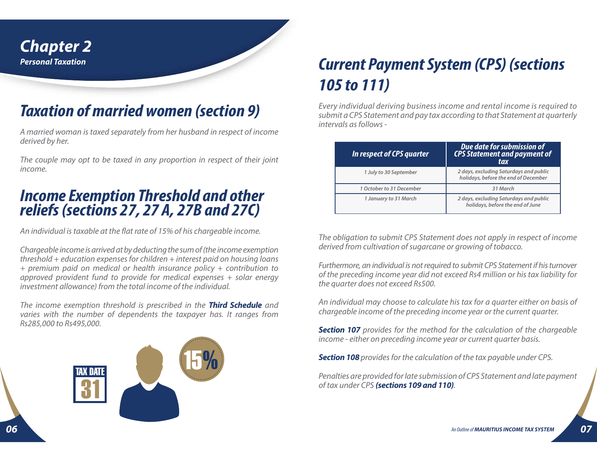

## **Taxation of married women (section 9)**

A married woman is taxed separately from her husband in respect of income derived by her.

The couple may opt to be taxed in any proportion in respect of their joint income.

# **Income Exemption Threshold and other reliefs (sections 27, 27 A, 27B and 27C)**

An individual is taxable at the flat rate of 15% of his chargeable income.

Chargeable income is arrived at by deducting the sum of (the income exemption threshold + education expenses for children + interest paid on housing loans + premium paid on medical or health insurance policy + contribution to approved provident fund to provide for medical expenses + solar energy investment allowance) from the total income of the individual.

The income exemption threshold is prescribed in the **Third Schedule** and varies with the number of dependents the taxpayer has. It ranges from Rs285,000 to Rs495,000.

> 15 %TAX DATE31

## **Current Payment System (CPS) (sections 105 to 111)**

Every individual deriving business income and rental income is required to submit a CPS Statement and pay tax according to that Statement at quarterly intervals as follows -

| In respect of CPS quarter | Due date for submission of<br><b>CPS Statement and payment of</b><br>tax       |
|---------------------------|--------------------------------------------------------------------------------|
| 1 July to 30 September    | 2 days, excluding Saturdays and public<br>holidays, before the end of December |
| 1 October to 31 December  | 31 March                                                                       |
| 1 January to 31 March     | 2 days, excluding Saturdays and public<br>holidays, before the end of June     |

The obligation to submit CPS Statement does not apply in respect of income derived from cultivation of sugarcane or growing of tobacco.

Furthermore, an individual is not required to submit CPS Statement if his turnover of the preceding income year did not exceed Rs4 million or his tax liability for the quarter does not exceed Rs500.

An individual may choose to calculate his tax for a quarter either on basis of chargeable income of the preceding income year or the current quarter.

**Section 107** provides for the method for the calculation of the chargeable income - either on preceding income year or current quarter basis.

**Section 108** provides for the calculation of the tax payable under CPS.

Penalties are provided for late submission of CPS Statement and late payment of tax under CPS **(sections 109 and 110)**.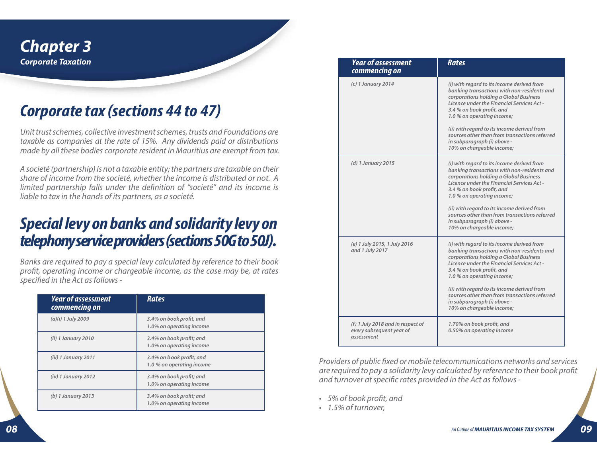

### **Corporate tax (sections 44 to 47)**

Unit trust schemes, collective investment schemes, trusts and Foundations are taxable as companies at the rate of 15%. Any dividends paid or distributions made by all these bodies corporate resident in Mauritius are exempt from tax.

A societé (partnership) is not a taxable entity; the partners are taxable on their share of income from the societé, whether the income is distributed or not. A limited partnership falls under the definition of "societé" and its income is liable to tax in the hands of its partners, as a societé.

#### **Special levy on banks and solidarity levy on telephony service providers (sections 50G to 50J).**

Banks are required to pay a special levy calculated by reference to their book profit, operating income or chargeable income, as the case may be, at rates specified in the Act as follows -

| <b>Year of assessment</b><br>commencing on | <b>Rates</b>                                          |
|--------------------------------------------|-------------------------------------------------------|
| (a)(i) 1 July 2009                         | 3.4% on book profit, and<br>1.0% on operating income  |
| $(ii)$ 1 January 2010                      | 3.4% on book profit; and<br>1.0% on operating income  |
| (iii) 1 January 2011                       | 3.4% on book profit; and<br>1.0 % on operating income |
| $(iv)$ 1 January 2012                      | 3.4% on book profit; and<br>1.0% on operating income  |
| $(b)$ 1 January 2013                       | 3.4% on book profit; and<br>1.0% on operating income  |

| <b>Year of assessment</b><br>commencing on                                  | <b>Rates</b>                                                                                                                                                                                                                                                                                                                                                                                             |
|-----------------------------------------------------------------------------|----------------------------------------------------------------------------------------------------------------------------------------------------------------------------------------------------------------------------------------------------------------------------------------------------------------------------------------------------------------------------------------------------------|
| $(c)$ 1 January 2014                                                        | (i) with regard to its income derived from<br>banking transactions with non-residents and<br>corporations holding a Global Business<br>Licence under the Financial Services Act -<br>3.4 % on book profit, and<br>1.0 % on operating income;<br>(ii) with regard to its income derived from<br>sources other than from transactions referred<br>in subparagraph (i) above -<br>10% on chargeable income; |
| (d) 1 January 2015                                                          | (i) with regard to its income derived from<br>banking transactions with non-residents and<br>corporations holding a Global Business<br>Licence under the Financial Services Act -<br>3.4 % on book profit, and<br>1.0 % on operating income;<br>(ii) with regard to its income derived from<br>sources other than from transactions referred<br>in subparagraph (i) above -<br>10% on chargeable income; |
| (e) 1 July 2015, 1 July 2016<br>and 1 July 2017                             | (i) with regard to its income derived from<br>banking transactions with non-residents and<br>corporations holding a Global Business<br>Licence under the Financial Services Act -<br>3.4 % on book profit, and<br>1.0 % on operating income;<br>(ii) with regard to its income derived from<br>sources other than from transactions referred<br>in subparagraph (i) above -<br>10% on chargeable income; |
| (f) 1 July 2018 and in respect of<br>every subsequent year of<br>assessment | 1.70% on book profit, and<br>0.50% on operating income                                                                                                                                                                                                                                                                                                                                                   |

Providers of public fixed or mobile telecommunications networks and services are required to pay a solidarity levy calculated by reference to their book profit and turnover at specific rates provided in the Act as follows -

- 5% of book profit, and
- 1.5% of turnover,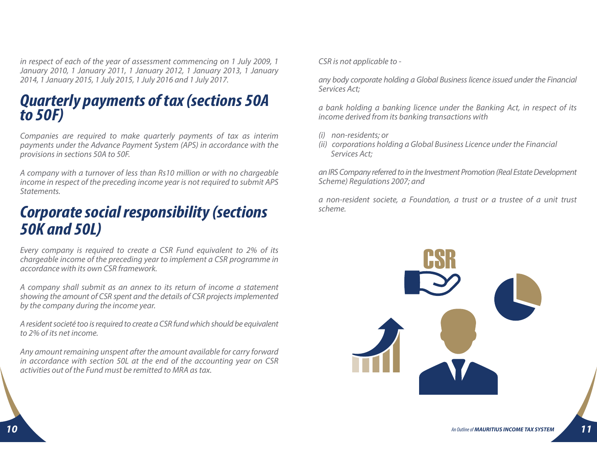in respect of each of the year of assessment commencing on 1 July 2009, 1 January 2010, 1 January 2011, 1 January 2012, 1 January 2013, 1 January 2014, 1 January 2015, 1 July 2015, 1 July 2016 and 1 July 2017.

# **Quarterly payments of tax (sections 50A to 50F)**

Companies are required to make quarterly payments of tax as interim payments under the Advance Payment System (APS) in accordance with the provisions in sections 50A to 50F.

A company with a turnover of less than Rs10 million or with no chargeable income in respect of the preceding income year is not required to submit APS Statements.

#### **Corporate social responsibility (sections 50K and 50L)**

Every company is required to create a CSR Fund equivalent to 2% of its chargeable income of the preceding year to implement a CSR programme in accordance with its own CSR framework.

A company shall submit as an annex to its return of income a statement showing the amount of CSR spent and the details of CSR projects implemented by the company during the income year.

A resident societé too is required to create a CSR fund which should be equivalent to 2% of its net income.

Any amount remaining unspent after the amount available for carry forward in accordance with section 50L at the end of the accounting year on CSR activities out of the Fund must be remitted to MRA as tax.

CSR is not applicable to -

any body corporate holding a Global Business licence issued under the Financial Services Act;

a bank holding a banking licence under the Banking Act, in respect of its income derived from its banking transactions with

- (i) non-residents; or
- (ii) corporations holding a Global Business Licence under the Financial Services Act;

an IRS Company referred to in the Investment Promotion (Real Estate Development Scheme) Regulations 2007; and

a non-resident societe, a Foundation, a trust or a trustee of a unit trust scheme.

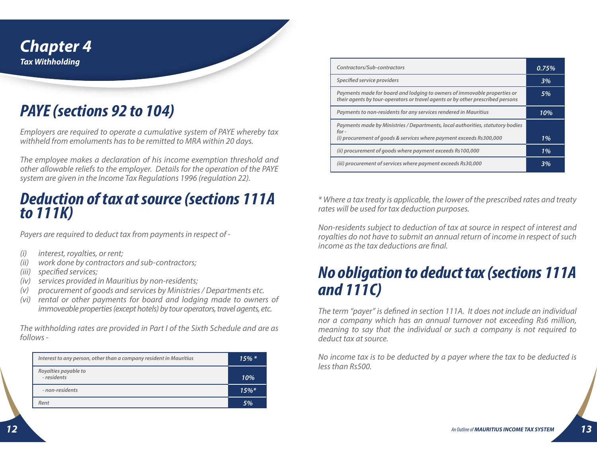

## **PAYE (sections 92 to 104)**

Employers are required to operate a cumulative system of PAYE whereby tax withheld from emoluments has to be remitted to MRA within 20 days.

The employee makes a declaration of his income exemption threshold and other allowable reliefs to the employer. Details for the operation of the PAYE system are given in the Income Tax Regulations 1996 (regulation 22).

#### **Deduction of tax at source (sections 111A to 111K)**

Payers are required to deduct tax from payments in respect of -

- interest, royalties, or rent; (i)
- work done by contractors and sub-contractors; (ii)
- (iii) specified services;
- (iv) services provided in Mauritius by non-residents;
- procurement of goods and services by Ministries / Departments etc. (v)
- (vi) rental or other payments for board and lodging made to owners of immoveable properties (except hotels) by tour operators, travel agents, etc.

The withholding rates are provided in Part I of the Sixth Schedule and are as follows -

| Interest to any person, other than a company resident in Mauritius | $15\%$ * |
|--------------------------------------------------------------------|----------|
| Royalties payable to<br>- residents                                | 10%      |
| - non-residents                                                    | $15\%*$  |
| Rent                                                               | 5%       |

| Contractors/Sub-contractors                                                                                                                                | 0.75% |
|------------------------------------------------------------------------------------------------------------------------------------------------------------|-------|
| Specified service providers                                                                                                                                | 3%    |
| Payments made for board and lodging to owners of immovable properties or<br>their agents by tour-operators or travel agents or by other prescribed persons | 5%    |
| Payments to non-residents for any services rendered in Mauritius                                                                                           | 10%   |
| Payments made by Ministries / Departments, local authorities, statutory bodies<br>for-                                                                     |       |
| (i) procurement of goods & services where payment exceeds Rs300,000                                                                                        | 1%    |
| (ii) procurement of goods where payment exceeds Rs100,000                                                                                                  | 1%    |
| (iii) procurement of services where payment exceeds Rs30,000                                                                                               | 3%    |

\* Where a tax treaty is applicable, the lower of the prescribed rates and treaty rates will be used for tax deduction purposes.

Non-residents subject to deduction of tax at source in respect of interest and royalties do not have to submit an annual return of income in respect of such income as the tax deductions are final.

#### **No obligation to deduct tax (sections 111A and 111C)**

The term "payer" is defined in section 111A. It does not include an individual nor a company which has an annual turnover not exceeding Rs6 million, meaning to say that the individual or such a company is not required to deduct tax at source.

No income tax is to be deducted by a payer where the tax to be deducted is less than Rs500.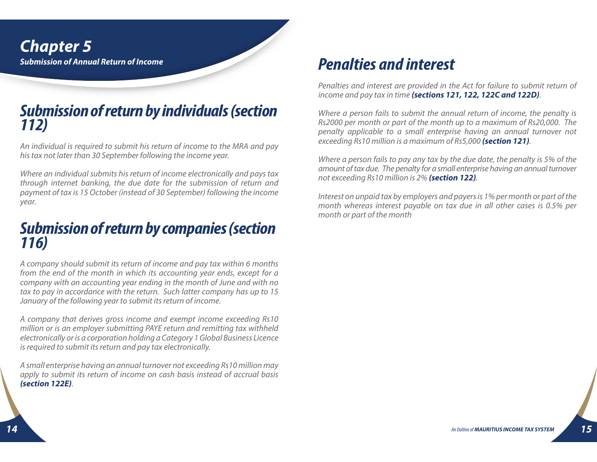# **Submission of return by individuals (section 112)**

An individual is required to submit his return of income to the MRA and pay his tax not later than 30 September following the income year.

Where an individual submits his return of income electronically and pays tax through internet banking, the due date for the submission of return and payment of tax is 15 October (instead of 30 September) following the income year.

# **Submission of return by companies (section 116)**

A company should submit its return of income and pay tax within 6 months from the end of the month in which its accounting year ends, except for a company with an accounting year ending in the month of June and with no tax to pay in accordance with the return. Such latter company has up to 15 January of the following year to submit its return of income.

A company that derives gross income and exempt income exceeding Rs10 million or is an employer submitting PAYE return and remitting tax withheld electronically or is a corporation holding a Category 1 Global Business Licence is required to submit its return and pay tax electronically.

A small enterprise having an annual turnover not exceeding Rs10 million may apply to submit its return of income on cash basis instead of accrual basis **(section 122E)**.

#### **Penalties and interest**

Penalties and interest are provided in the Act for failure to submit return of income and pay tax in time **(sections 121, 122, 122C and 122D)**.

Where a person fails to submit the annual return of income, the penalty is Rs2000 per month or part of the month up to a maximum of Rs20,000. The penalty applicable to a small enterprise having an annual turnover not exceeding Rs10 million is a maximum of Rs5,000 **(section 121)**.

Where a person fails to pay any tax by the due date, the penalty is 5% of the amount of tax due. The penalty for a small enterprise having an annual turnover not exceeding Rs10 million is 2% **(section 122)**.

Interest on unpaid tax by employers and payers is 1% per month or part of the month whereas interest payable on tax due in all other cases is 0.5% per month or part of the month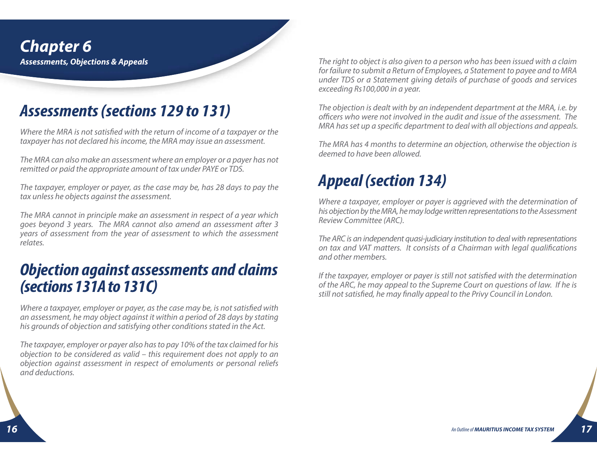**Chapter 6 Assessments, Objections & Appeals**

#### **Assessments (sections 129 to 131)**

Where the MRA is not satisfied with the return of income of a taxpayer or the taxpayer has not declared his income, the MRA may issue an assessment.

The MRA can also make an assessment where an employer or a payer has not remitted or paid the appropriate amount of tax under PAYE or TDS.

The taxpayer, employer or payer, as the case may be, has 28 days to pay the tax unless he objects against the assessment.

The MRA cannot in principle make an assessment in respect of a year which goes beyond 3 years. The MRA cannot also amend an assessment after 3 years of assessment from the year of assessment to which the assessment relates.

#### **Objection against assessments and claims (sections 131A to 131C)**

Where a taxpayer, employer or payer, as the case may be, is not satisfied with an assessment, he may object against it within a period of 28 days by stating his grounds of objection and satisfying other conditions stated in the Act.

The taxpayer, employer or payer also has to pay 10% of the tax claimed for his objection to be considered as valid – this requirement does not apply to an objection against assessment in respect of emoluments or personal reliefs and deductions.

The right to object is also given to a person who has been issued with a claim for failure to submit a Return of Employees, a Statement to payee and to MRA under TDS or a Statement giving details of purchase of goods and services exceeding Rs100,000 in a year.

The objection is dealt with by an independent department at the MRA, i.e. by officers who were not involved in the audit and issue of the assessment. The MRA has set up a specific department to deal with all objections and appeals.

The MRA has 4 months to determine an objection, otherwise the objection is deemed to have been allowed.

## **Appeal (section 134)**

Where a taxpayer, employer or payer is aggrieved with the determination of his objection by the MRA, he may lodge written representations to the Assessment Review Committee (ARC).

The ARC is an independent quasi-judiciary institution to deal with representations on tax and VAT matters. It consists of a Chairman with legal qualifications and other members.

If the taxpayer, employer or payer is still not satisfied with the determination of the ARC, he may appeal to the Supreme Court on questions of law. If he is still not satisfied, he may finally appeal to the Privy Council in London.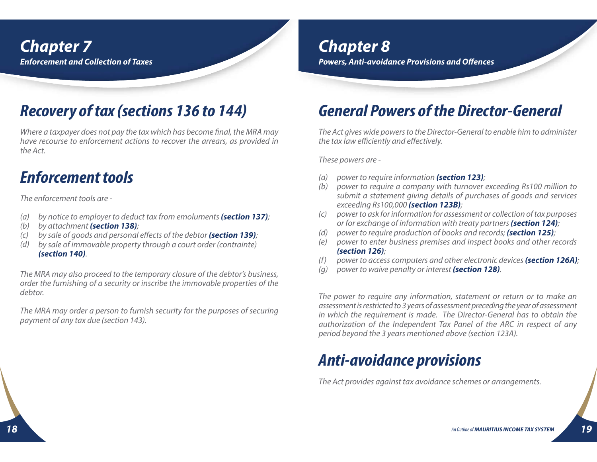#### **Chapter 8**

**Powers, Anti-avoidance Provisions and Offences**

## **Recovery of tax (sections 136 to 144)**

Where a taxpayer does not pay the tax which has become final, the MRA may have recourse to enforcement actions to recover the arrears, as provided in the Act.

## **Enforcement tools**

The enforcement tools are -

- by notice to employer to deduct tax from emoluments **(section 137)**;  $(a)$
- by attachment **(section 138)**; (b)
- by sale of goods and personal effects of the debtor **(section 139)**;  $(C)$
- by sale of immovable property through a court order (contrainte) **(section 140)**. (d)

The MRA may also proceed to the temporary closure of the debtor's business, order the furnishing of a security or inscribe the immovable properties of the debtor.

The MRA may order a person to furnish security for the purposes of securing payment of any tax due (section 143).

## **General Powers of the Director-General**

The Act gives wide powers to the Director-General to enable him to administer the tax law efficiently and effectively.

These powers are -

- power to require information **(section 123)**;  $(a)$
- (b) power to require a company with turnover exceeding Rs100 million to submit a statement giving details of purchases of goods and services exceeding Rs100,000 **(section 123B)**;
- power to ask for information for assessment or collection of tax purposes or for exchange of information with treaty partners **(section 124)**;  $(c)$
- power to require production of books and records; **(section 125)**; (d)
- power to enter business premises and inspect books and other records **(section 126)**; (e)
- power to access computers and other electronic devices **(section 126A)**;  $(f)$
- power to waive penalty or interest **(section 128)**.  $(a)$

The power to require any information, statement or return or to make an assessment is restricted to 3 years of assessment preceding the year of assessment in which the requirement is made. The Director-General has to obtain the authorization of the Independent Tax Panel of the ARC in respect of any period beyond the 3 years mentioned above (section 123A).

## **Anti-avoidance provisions**

The Act provides against tax avoidance schemes or arrangements.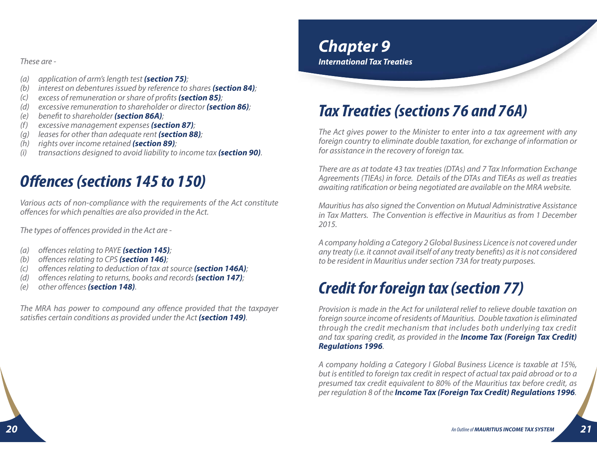These are -

- application of arm's length test **(section 75)**; (a)
- interest on debentures issued by reference to shares **(section 84)**; (b)
- excess of remuneration or share of profits **(section 85)**;  $(c)$
- excessive remuneration to shareholder or director **(section 86)**; (d)
- benefit to shareholder **(section 86A)**; (e)
- excessive management expenses **(section 87)**; (f)
- leases for other than adequate rent **(section 88)**; (g)
- rights over income retained **(section 89)**; (h)
- transactions designed to avoid liability to income tax **(section 90)**. (i)

## **Offences (sections 145 to 150)**

Various acts of non-compliance with the requirements of the Act constitute offences for which penalties are also provided in the Act.

The types of offences provided in the Act are -

- offences relating to PAYE **(section 145)**; (a)
- (b) offences relating to CPS **(section 146)**;
- offences relating to deduction of tax at source **(section 146A)**;  $(c)$
- offences relating to returns, books and records **(section 147)**; (d)
- other offences **(section 148)**. (e)

The MRA has power to compound any offence provided that the taxpayer satisfies certain conditions as provided under the Act **(section 149)**.

#### **Chapter 9 International Tax Treaties**

## **Tax Treaties (sections 76 and 76A)**

The Act gives power to the Minister to enter into a tax agreement with any foreign country to eliminate double taxation, for exchange of information or for assistance in the recovery of foreign tax.

There are as at todate 43 tax treaties (DTAs) and 7 Tax Information Exchange Agreements (TIEAs) in force. Details of the DTAs and TIEAs as well as treaties awaiting ratification or being negotiated are available on the MRA website.

Mauritius has also signed the Convention on Mutual Administrative Assistance in Tax Matters. The Convention is effective in Mauritius as from 1 December 2015.

A company holding a Category 2 Global Business Licence is not covered under any treaty (i.e. it cannot avail itself of any treaty benefits) as it is not considered to be resident in Mauritius under section 73A for treaty purposes.

## **Credit for foreign tax (section 77)**

Provision is made in the Act for unilateral relief to relieve double taxation on foreign source income of residents of Mauritius. Double taxation is eliminated through the credit mechanism that includes both underlying tax credit and tax sparing credit, as provided in the **Income Tax (Foreign Tax Credit) Regulations 1996**.

A company holding a Category I Global Business Licence is taxable at 15%, but is entitled to foreign tax credit in respect of actual tax paid abroad or to a presumed tax credit equivalent to 80% of the Mauritius tax before credit, as per regulation 8 of the **Income Tax (Foreign Tax Credit) Regulations 1996**.

**21**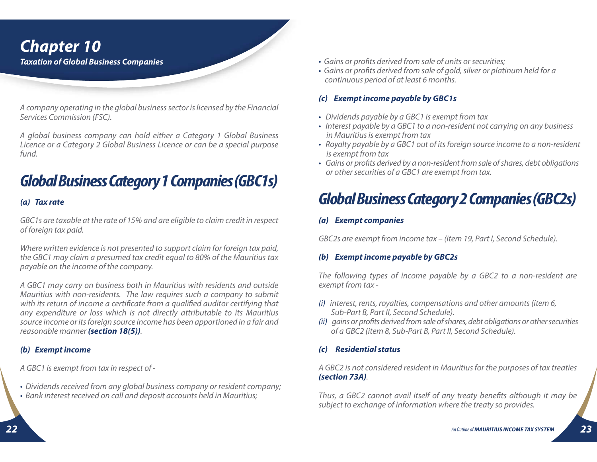#### **Chapter 10 Taxation of Global Business Companies**

A company operating in the global business sector is licensed by the Financial Services Commission (FSC).

A global business company can hold either a Category 1 Global Business Licence or a Category 2 Global Business Licence or can be a special purpose fund.

## **Global Business Category 1 Companies (GBC1s)**

#### **(a) Tax rate**

GBC1s are taxable at the rate of 15% and are eligible to claim credit in respect of foreign tax paid.

Where written evidence is not presented to support claim for foreign tax paid, the GBC1 may claim a presumed tax credit equal to 80% of the Mauritius tax payable on the income of the company.

A GBC1 may carry on business both in Mauritius with residents and outside Mauritius with non-residents. The law requires such a company to submit with its return of income a certificate from a qualified auditor certifying that any expenditure or loss which is not directly attributable to its Mauritius source income or its foreign source income has been apportioned in a fair and reasonable manner **(section 18(5))**.

#### **(b) Exempt income**

A GBC1 is exempt from tax in respect of -

- Dividends received from any global business company or resident company;
- Bank interest received on call and deposit accounts held in Mauritius;
- Gains or profits derived from sale of units or securities;
- Gains or profits derived from sale of gold, silver or platinum held for a continuous period of at least 6 months.

#### **(c) Exempt income payable by GBC1s**

- Dividends payable by a GBC1 is exempt from tax
- Interest payable by a GBC1 to a non-resident not carrying on any business in Mauritius is exempt from tax
- Royalty payable by a GBC1 out of its foreign source income to a non-resident is exempt from tax
- Gains or profits derived by a non-resident from sale of shares, debt obligations or other securities of a GBC1 are exempt from tax.

## **Global Business Category 2 Companies (GBC2s)**

#### **(a) Exempt companies**

GBC2s are exempt from income tax – (item 19, Part I, Second Schedule).

#### **(b) Exempt income payable by GBC2s**

The following types of income payable by a GBC2 to a non-resident are exempt from tax -

- (i) interest, rents, royalties, compensations and other amounts (item 6, Sub-Part B, Part II, Second Schedule).
- (ii) gains or profits derived from sale of shares, debt obligations or other securities of a GBC2 (item 8, Sub-Part B, Part II, Second Schedule).

#### **(c) Residential status**

A GBC2 is not considered resident in Mauritius for the purposes of tax treaties **(section 73A)**.

Thus, a GBC2 cannot avail itself of any treaty benefits although it may be subject to exchange of information where the treaty so provides.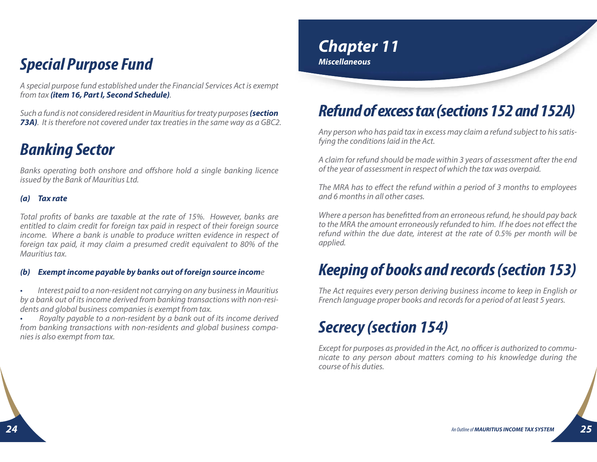#### **Special Purpose Fund**

A special purpose fund established under the Financial Services Act is exempt from tax **(item 16, Part I, Second Schedule)**.

Such a fund is not considered resident in Mauritius for treaty purposes **(section 73A)**. It is therefore not covered under tax treaties in the same way as a GBC2.

## **Banking Sector**

Banks operating both onshore and offshore hold a single banking licence issued by the Bank of Mauritius Ltd.

#### **(a) Tax rate**

Total profits of banks are taxable at the rate of 15%. However, banks are entitled to claim credit for foreign tax paid in respect of their foreign source income. Where a bank is unable to produce written evidence in respect of foreign tax paid, it may claim a presumed credit equivalent to 80% of the Mauritius tax.

#### **(b) Exempt income payable by banks out of foreign source incom** e

• Interest paid to a non-resident not carrying on any business in Mauritius by a bank out of its income derived from banking transactions with non-residents and global business companies is exempt from tax.

• Royalty payable to a non-resident by a bank out of its income derived from banking transactions with non-residents and global business companies is also exempt from tax.

#### **Chapter 11 Miscellaneous**

## **Refund of excess tax (sections 152 and 152A)**

Any person who has paid tax in excess may claim a refund subject to his satisfying the conditions laid in the Act.

A claim for refund should be made within 3 years of assessment after the end of the year of assessment in respect of which the tax was overpaid.

The MRA has to effect the refund within a period of 3 months to employees and 6 months in all other cases.

Where a person has benefitted from an erroneous refund, he should pay back to the MRA the amount erroneously refunded to him. If he does not effect the refund within the due date, interest at the rate of 0.5% per month will be applied.

### **Keeping of books and records (section 153)**

The Act requires every person deriving business income to keep in English or French language proper books and records for a period of at least 5 years.

## **Secrecy (section 154)**

Except for purposes as provided in the Act, no officer is authorized to communicate to any person about matters coming to his knowledge during the course of his duties.